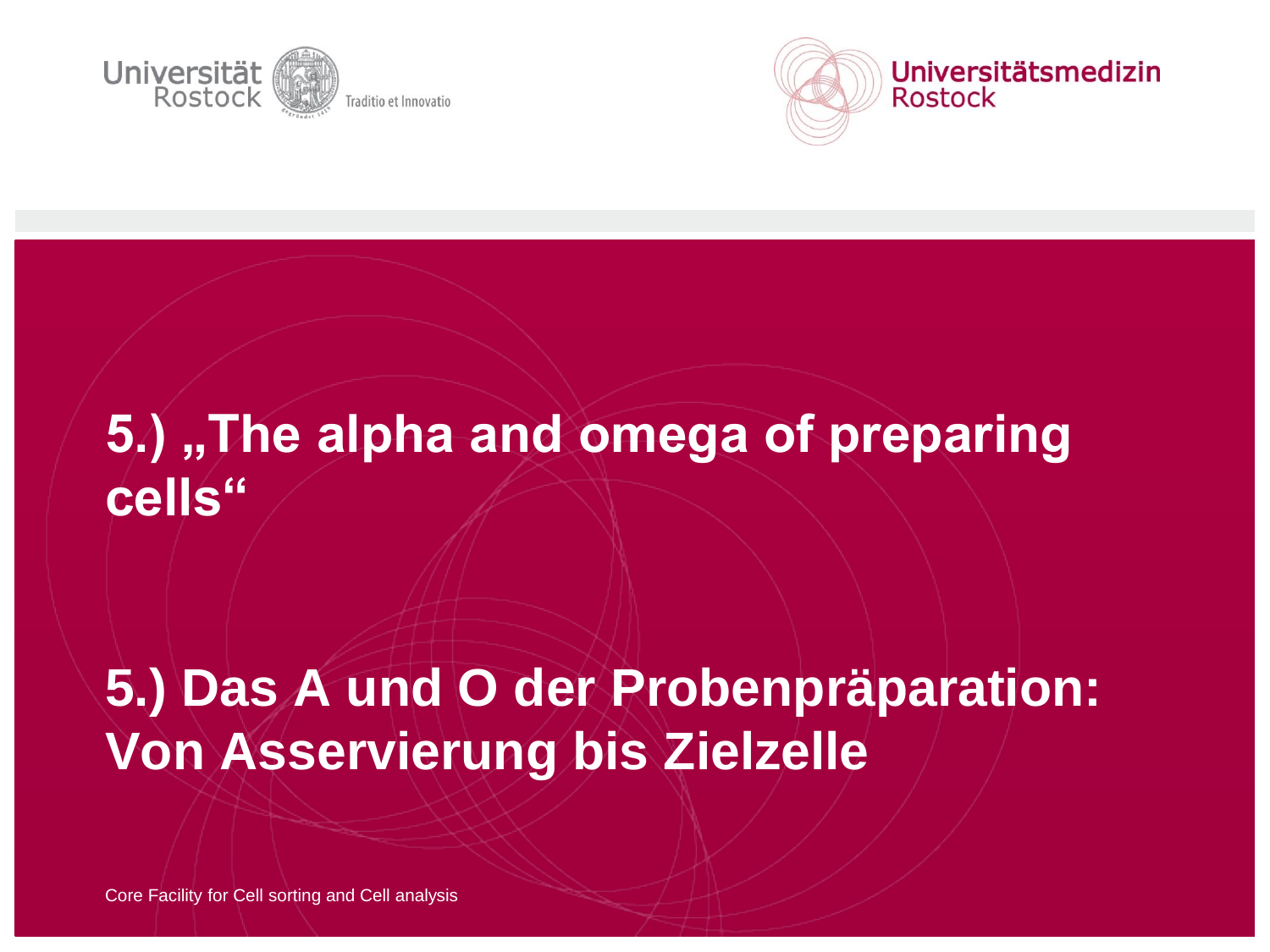



# **5.) "The alpha and omega of preparing cells"**

# **5.) Das A und O der Probenpräparation: Von Asservierung bis Zielzelle**

Core Facility for Cell sorting and Cell analysis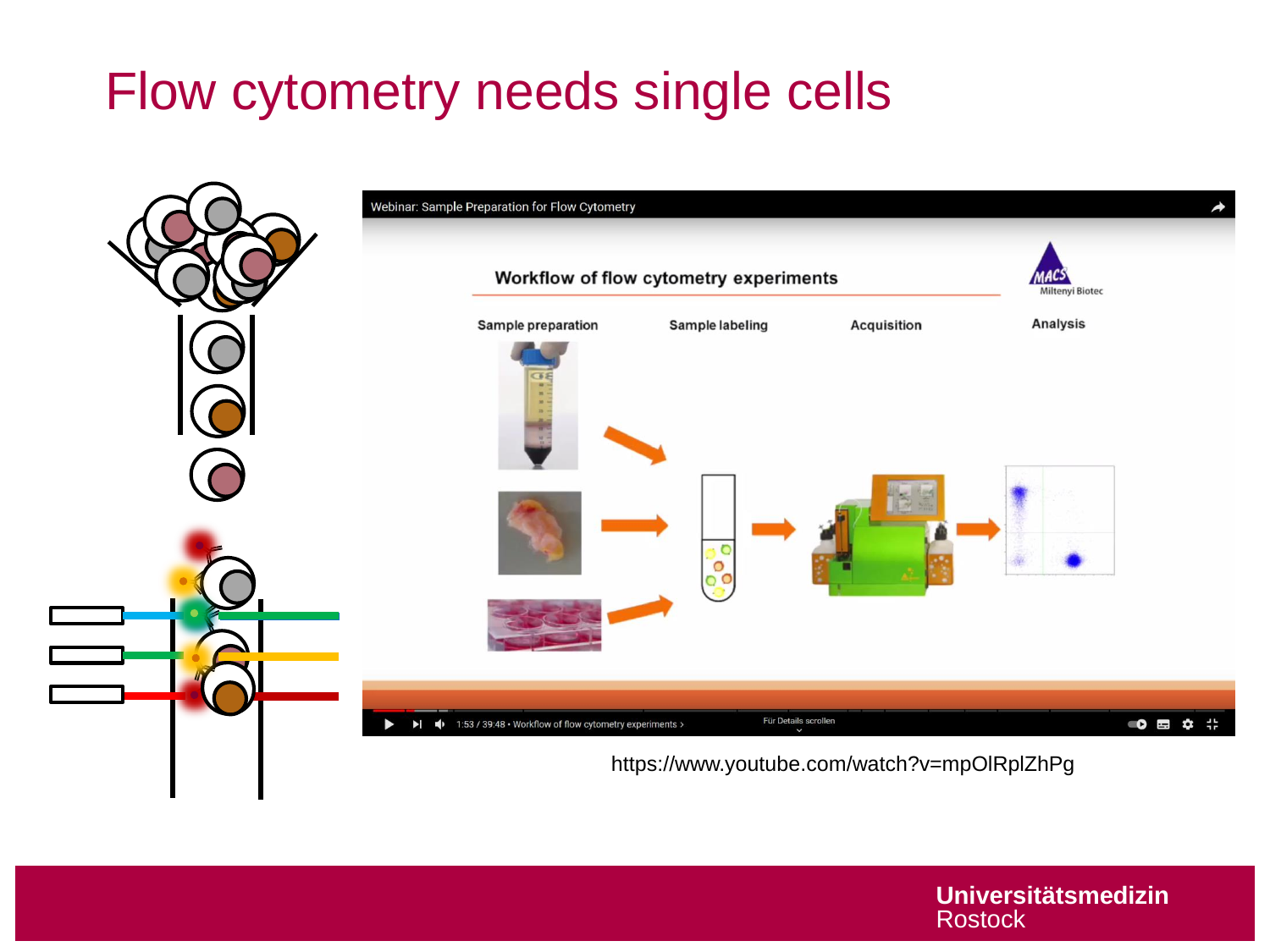# Flow cytometry needs single cells

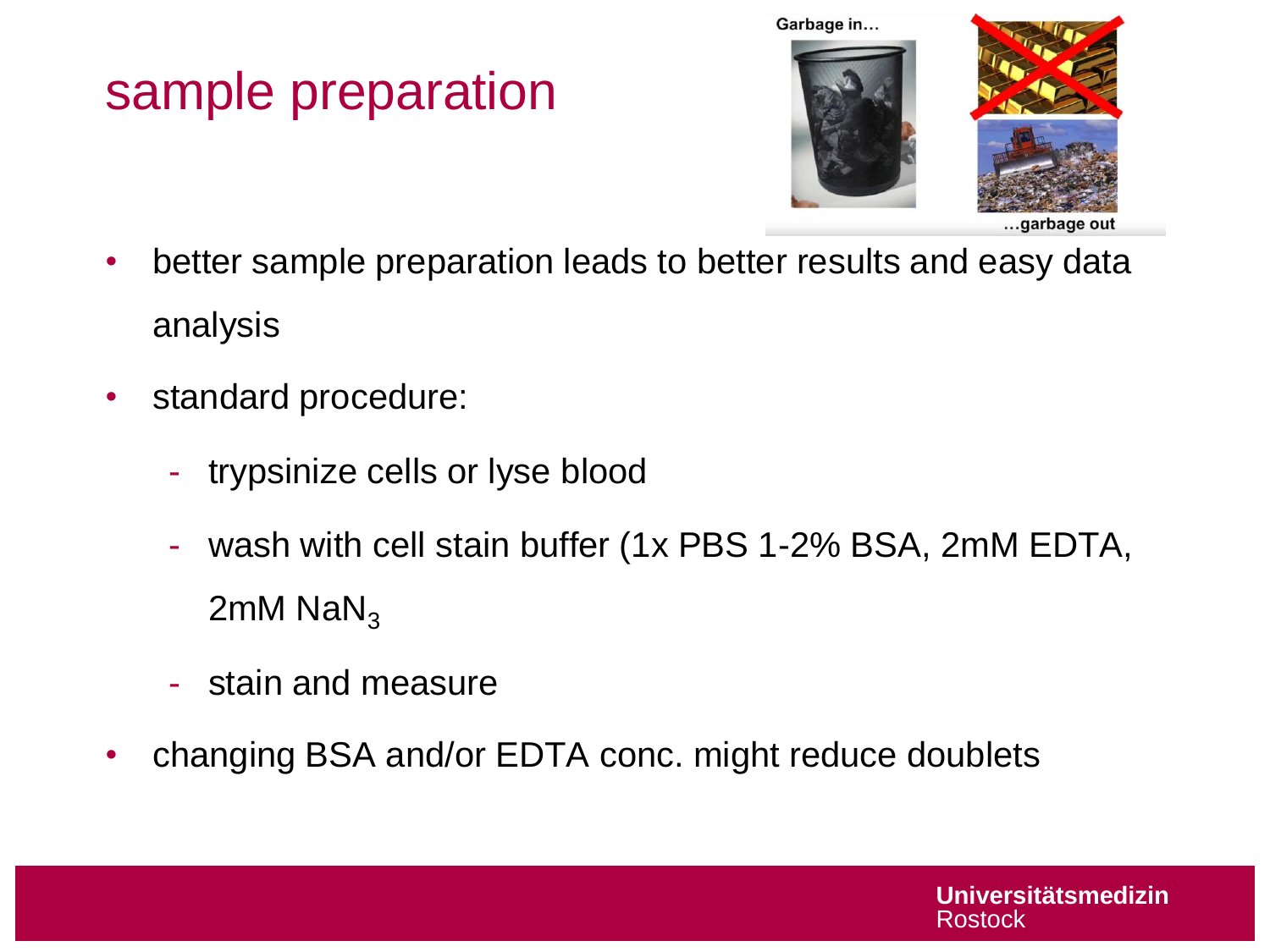# sample preparation



- better sample preparation leads to better results and easy data analysis
- standard procedure:
	- trypsinize cells or lyse blood
	- wash with cell stain buffer (1x PBS 1-2% BSA, 2mM EDTA,  $2mM$  NaN<sub>3</sub>
	- stain and measure
- changing BSA and/or EDTA conc. might reduce doublets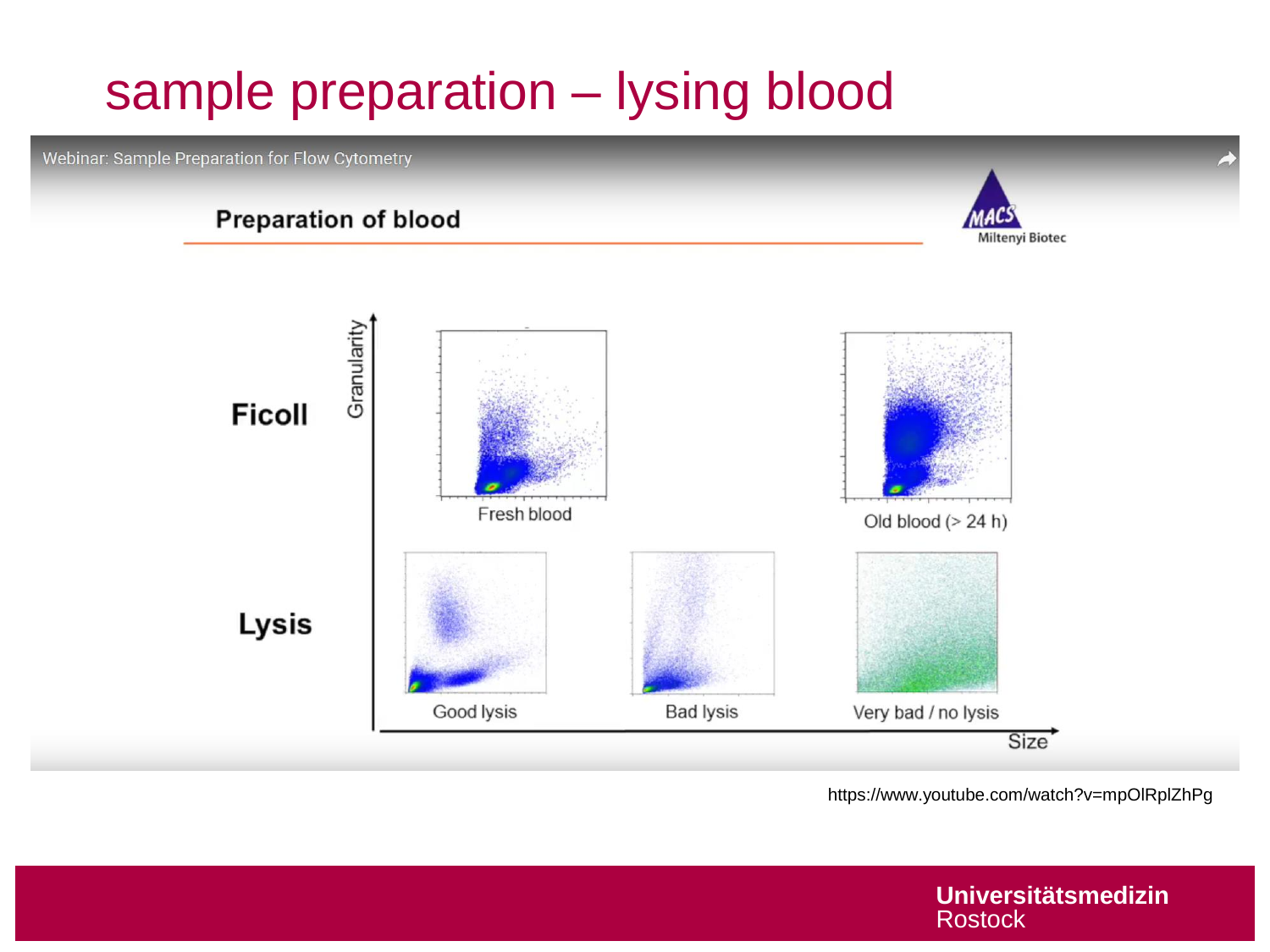# sample preparation – lysing blood

Webinar: Sample Preparation for Flow Cytometry

#### **Preparation of blood**





https://www.youtube.com/watch?v=mpOlRplZhPg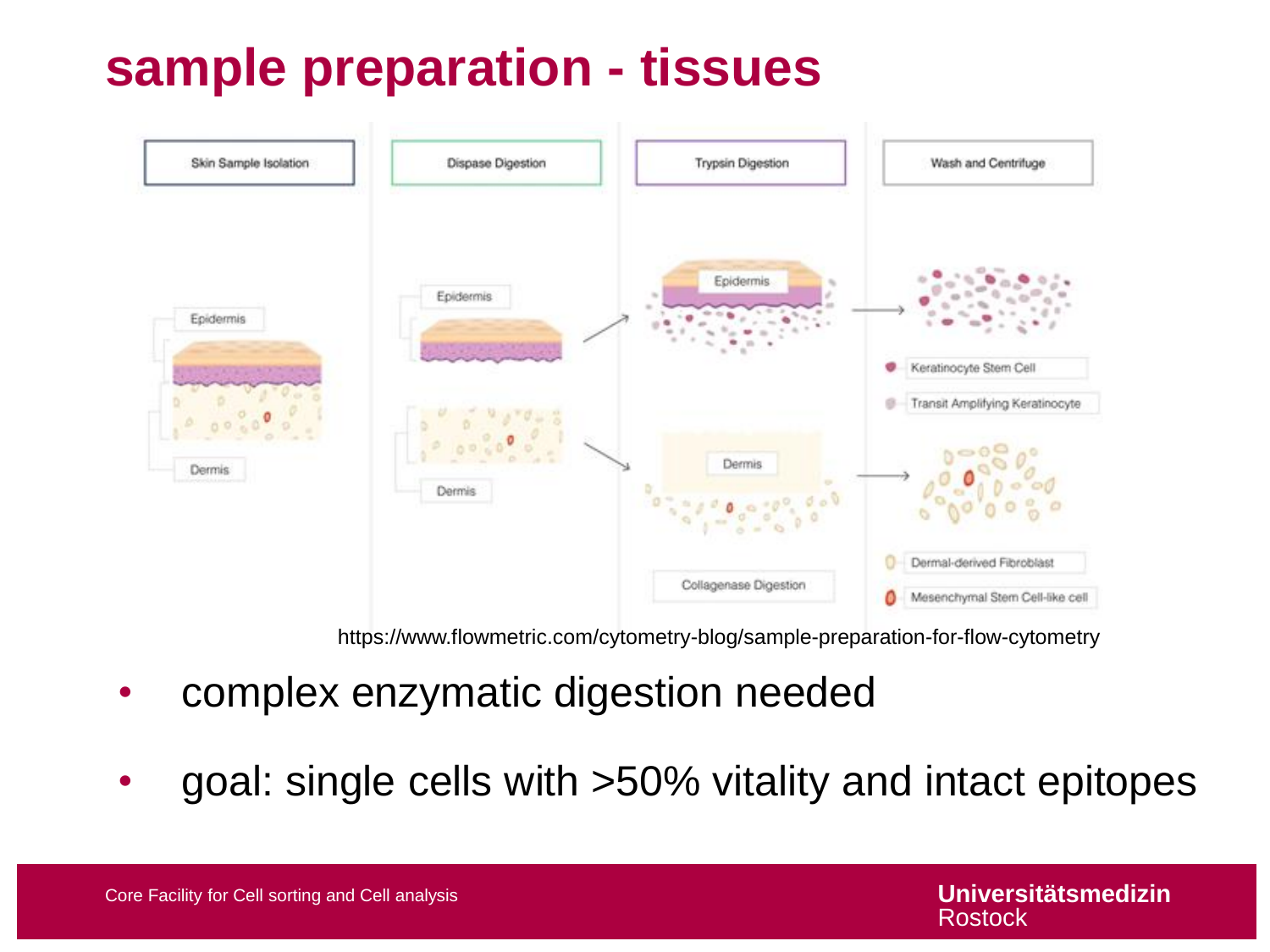# **sample preparation - tissues**



https://www.flowmetric.com/cytometry-blog/sample-preparation-for-flow-cytometry

- complex enzymatic digestion needed
- goal: single cells with >50% vitality and intact epitopes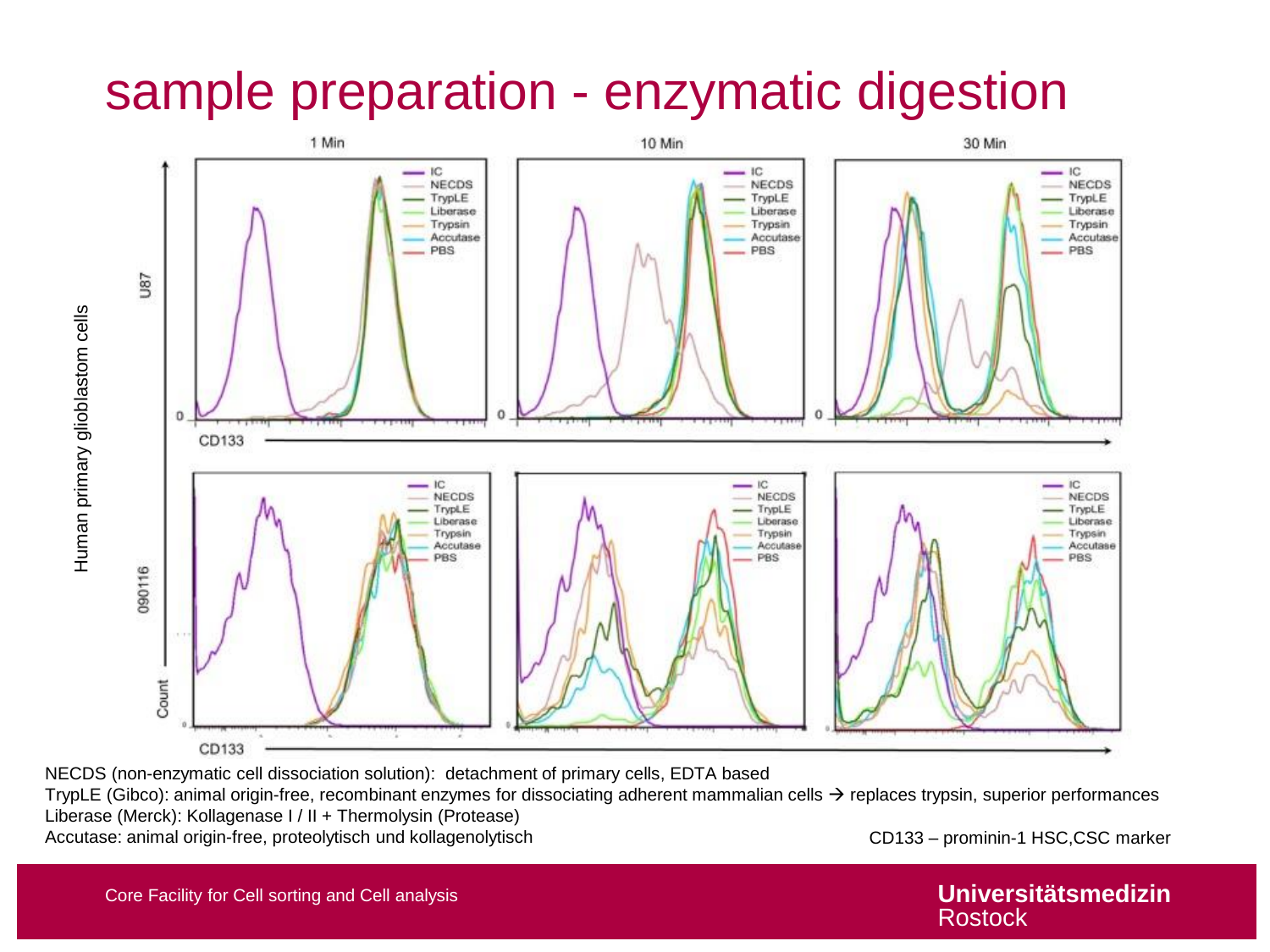#### sample preparation - enzymatic digestion



NECDS (non-enzymatic cell dissociation solution): detachment of primary cells, EDTA based

TrypLE (Gibco): animal origin-free, recombinant enzymes for dissociating adherent mammalian cells  $\rightarrow$  replaces trypsin, superior performances Liberase (Merck): Kollagenase I / II + Thermolysin (Protease) Accutase: animal origin-free, proteolytisch und kollagenolytisch CD133 – prominin-1 HSC,CSC marker

Human primary glioblastom cells

Human primary glioblastom cells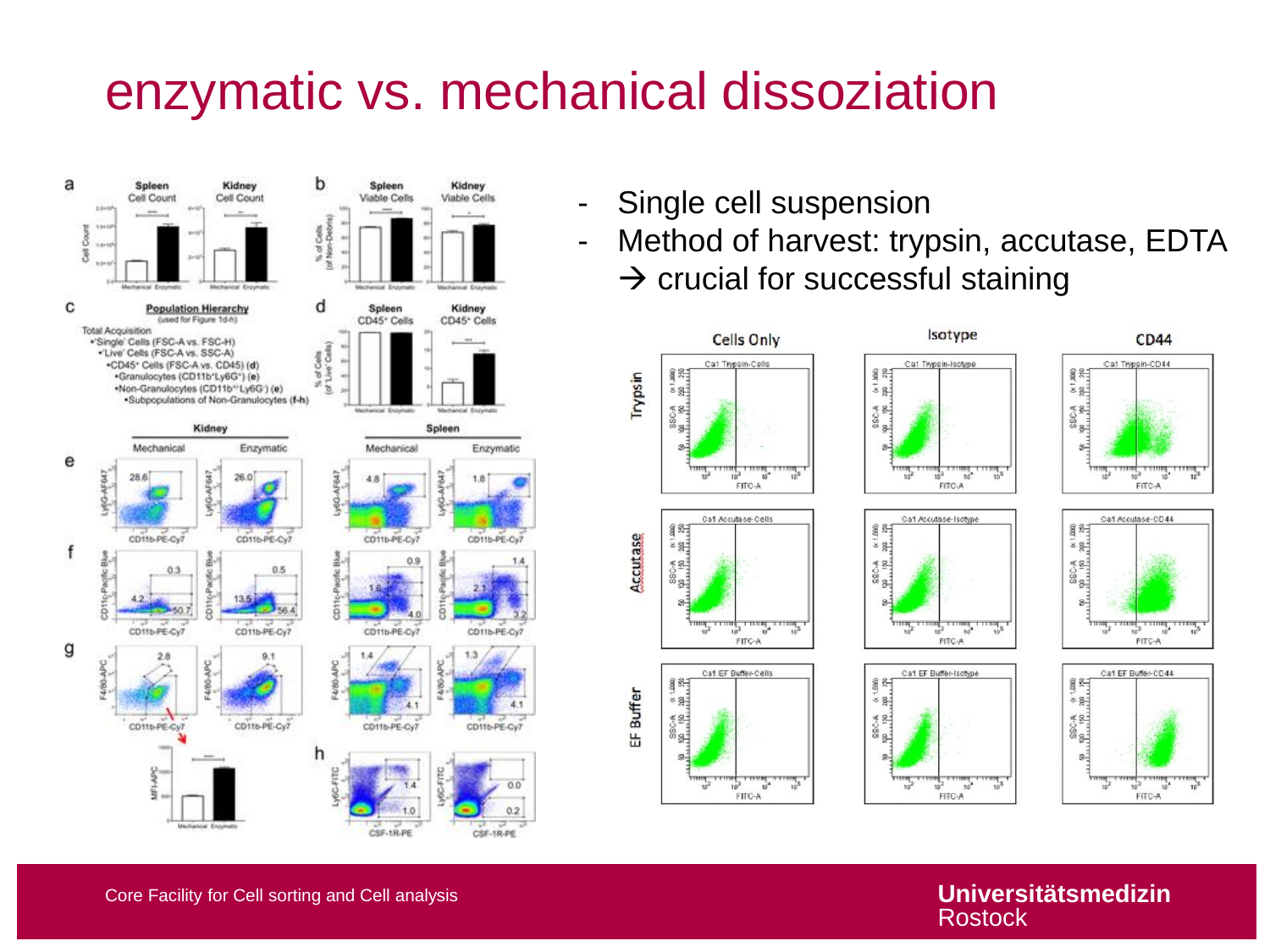### enzymatic vs. mechanical dissoziation



- Single cell suspension
- Method of harvest: trypsin, accutase, EDTA  $\rightarrow$  crucial for successful staining



Core Facility for Cell sorting and Cell analysis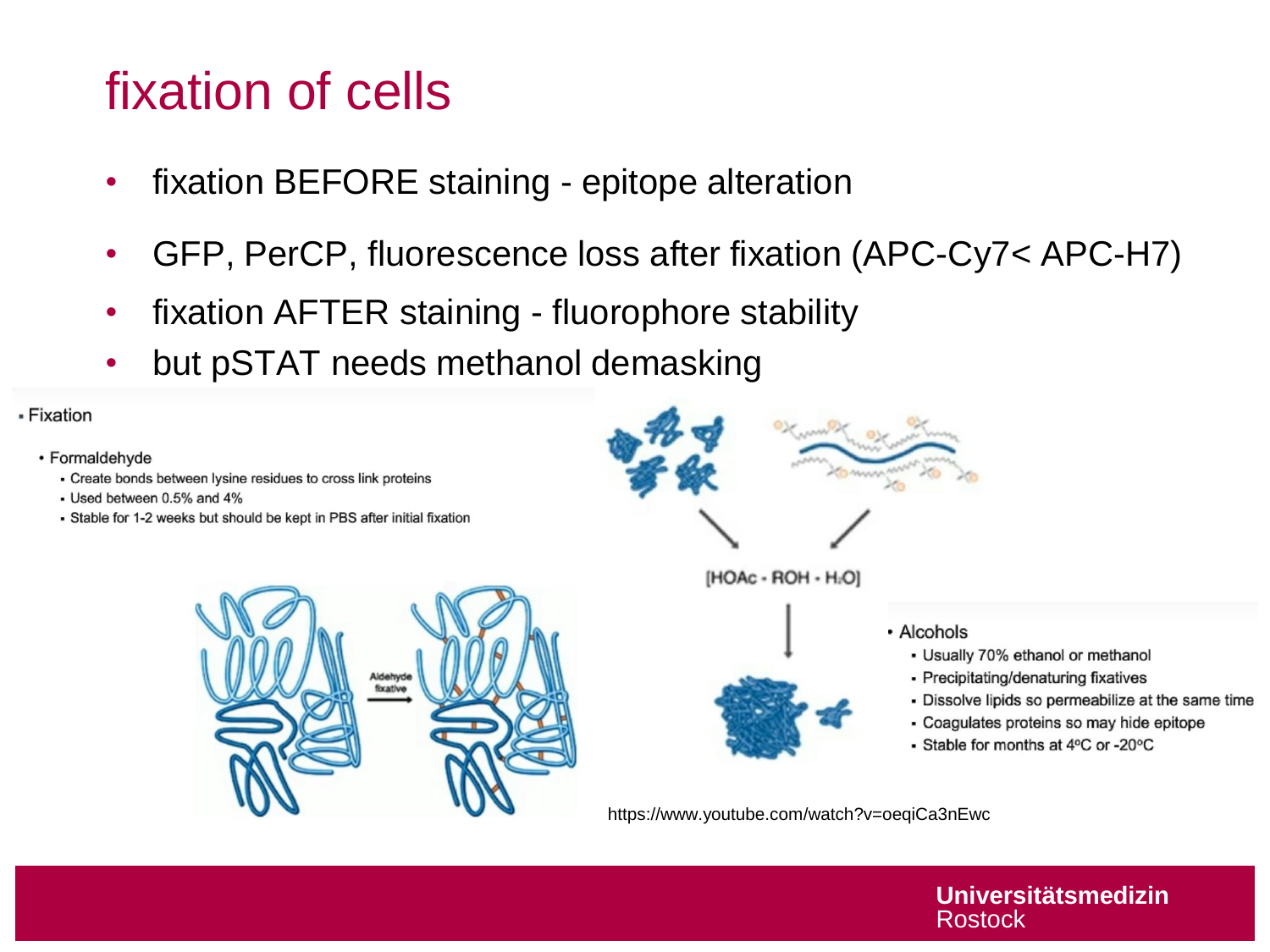# fixation of cells

- fixation BEFORE staining epitope alteration
- GFP, PerCP, fluorescence loss after fixation (APC-Cy7< APC-H7)
- fixation AFTER staining fluorophore stability
- but pSTAT needs methanol demasking

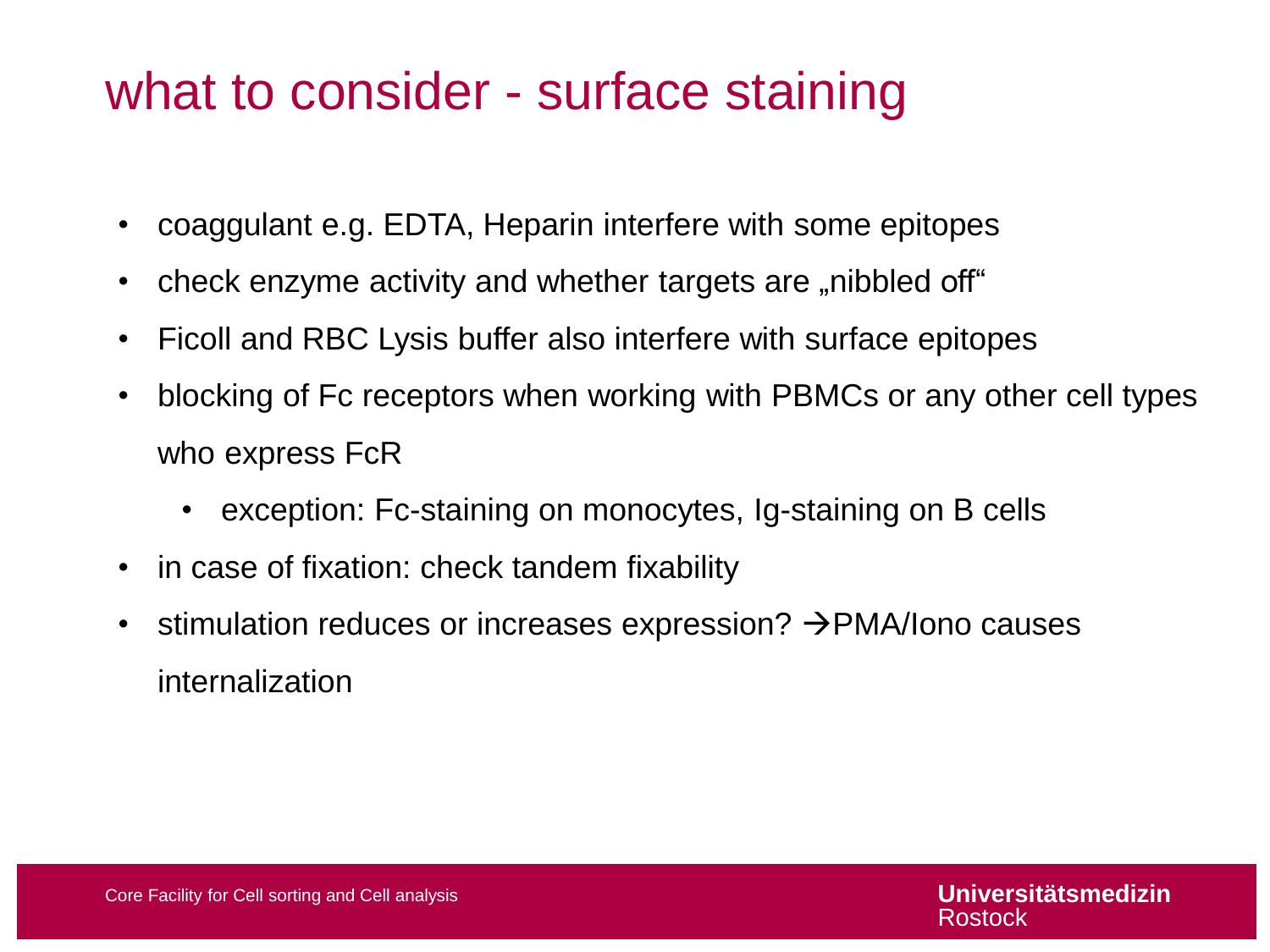### what to consider - surface staining

- coaggulant e.g. EDTA, Heparin interfere with some epitopes
- check enzyme activity and whether targets are "nibbled off"
- Ficoll and RBC Lysis buffer also interfere with surface epitopes
- blocking of Fc receptors when working with PBMCs or any other cell types who express FcR
	- exception: Fc-staining on monocytes, Ig-staining on B cells
- in case of fixation: check tandem fixability
- stimulation reduces or increases expression?  $\rightarrow$  PMA/Iono causes internalization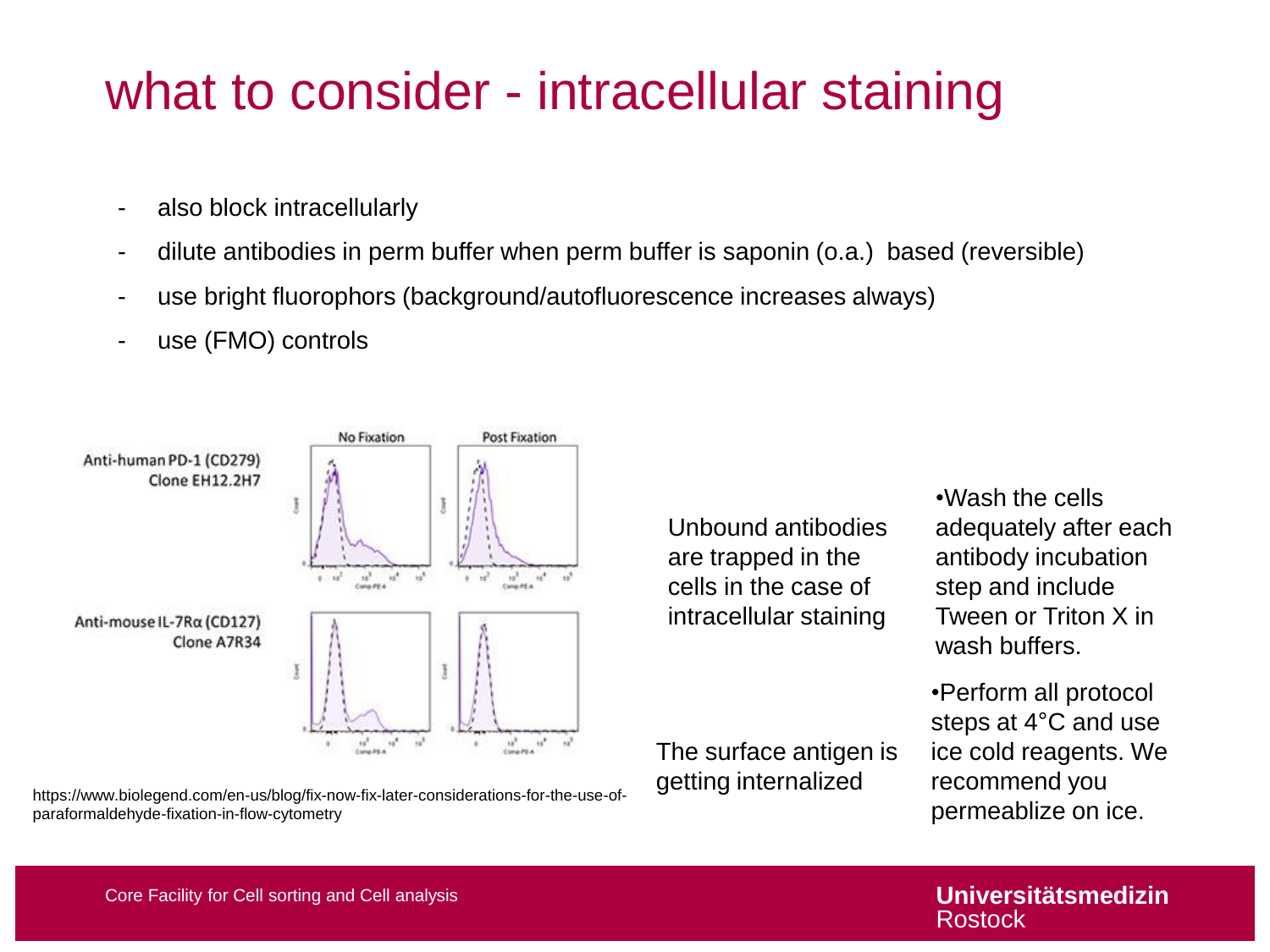### what to consider - intracellular staining

- also block intracellularly
- dilute antibodies in perm buffer when perm buffer is saponin (o.a.) based (reversible)
- use bright fluorophors (background/autofluorescence increases always)
- use (FMO) controls



https://www.biolegend.com/en-us/blog/fix-now-fix-later-considerations-for-the-use-ofparaformaldehyde-fixation-in-flow-cytometry

Unbound antibodies are trapped in the cells in the case of intracellular staining

The surface antigen is getting internalized

•Wash the cells adequately after each antibody incubation step and include Tween or Triton X in wash buffers.

•Perform all protocol steps at 4°C and use ice cold reagents. We recommend you permeablize on ice.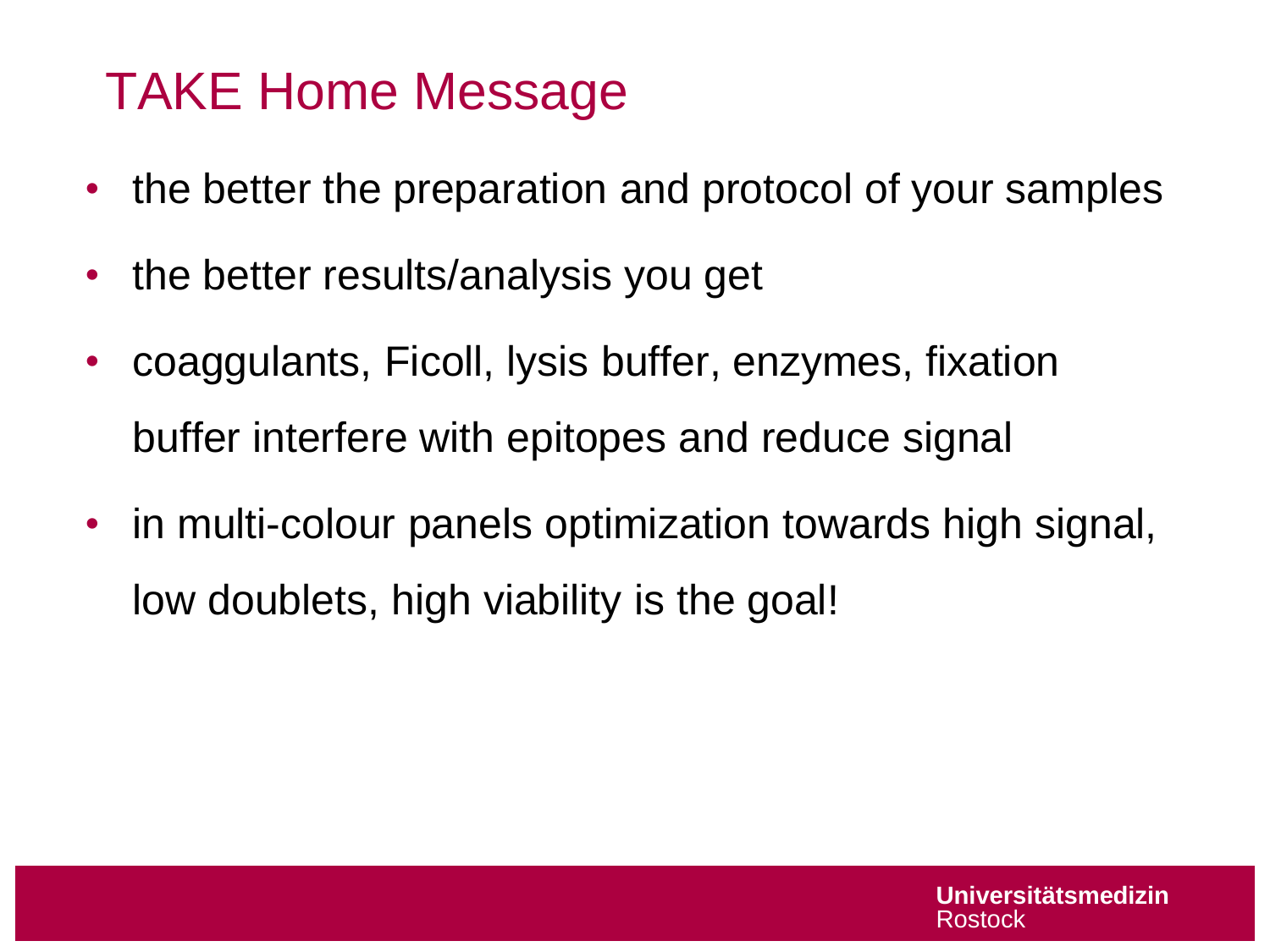# TAKE Home Message

- the better the preparation and protocol of your samples
- the better results/analysis you get
- coaggulants, Ficoll, lysis buffer, enzymes, fixation buffer interfere with epitopes and reduce signal
- in multi-colour panels optimization towards high signal, low doublets, high viability is the goal!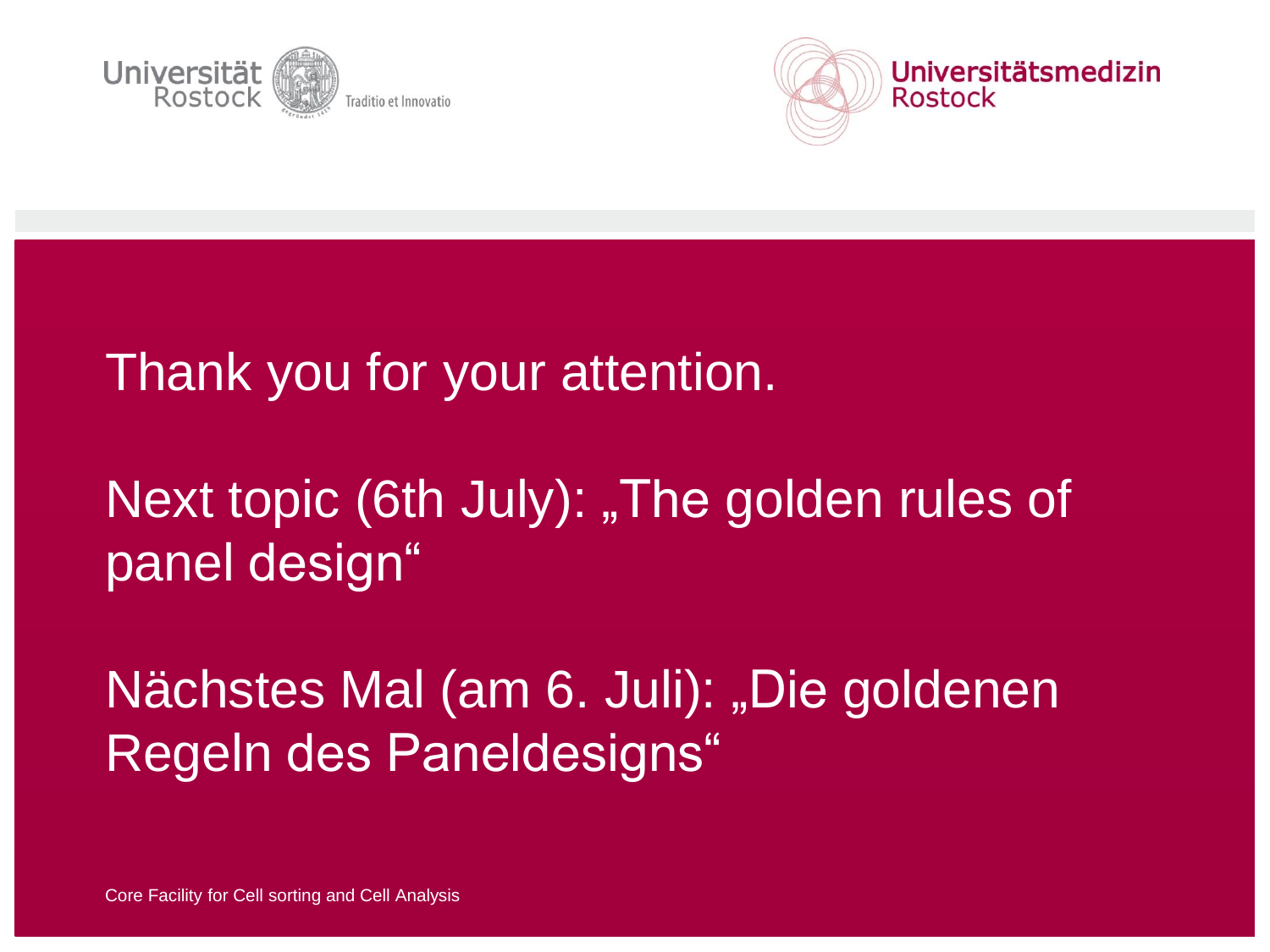



#### Thank you for your attention.

# Next topic (6th July): "The golden rules of panel design"

Nächstes Mal (am 6. Juli): "Die goldenen Regeln des Paneldesigns"